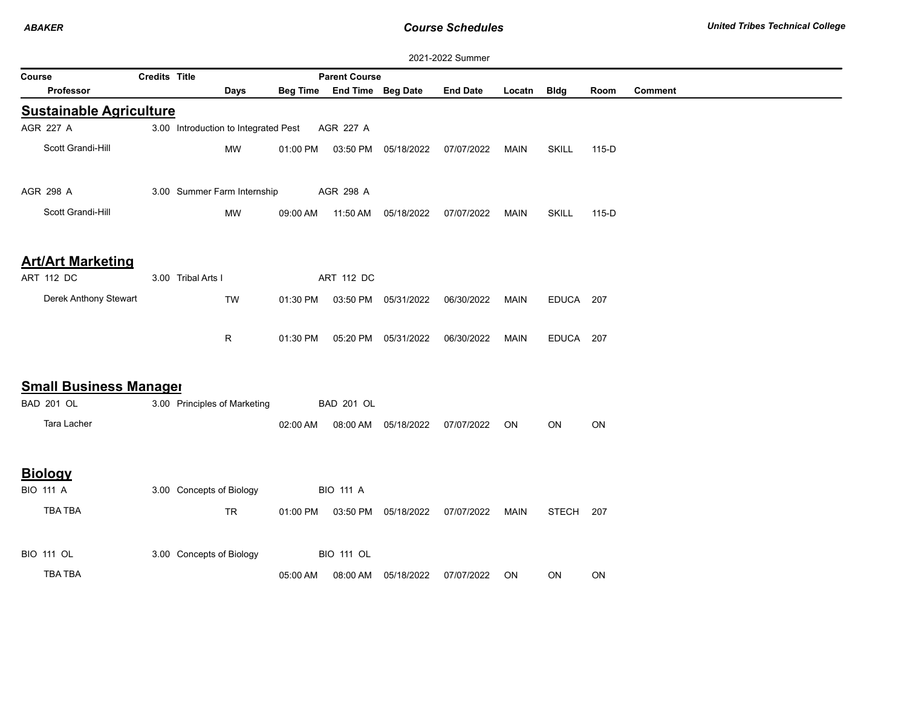| 2021-2022 Summer                                      |                      |                                      |          |                            |                      |                 |             |              |       |                |  |
|-------------------------------------------------------|----------------------|--------------------------------------|----------|----------------------------|----------------------|-----------------|-------------|--------------|-------|----------------|--|
| Course                                                | <b>Credits Title</b> |                                      |          | <b>Parent Course</b>       |                      |                 |             |              |       |                |  |
| <b>Professor</b>                                      |                      | Days                                 |          | Beg Time End Time Beg Date |                      | <b>End Date</b> | Locatn      | <b>Bldg</b>  | Room  | <b>Comment</b> |  |
| <b>Sustainable Agriculture</b>                        |                      |                                      |          |                            |                      |                 |             |              |       |                |  |
| AGR 227 A                                             |                      | 3.00 Introduction to Integrated Pest |          | AGR 227 A                  |                      |                 |             |              |       |                |  |
| Scott Grandi-Hill                                     |                      | <b>MW</b>                            | 01:00 PM |                            | 03:50 PM 05/18/2022  | 07/07/2022      | <b>MAIN</b> | <b>SKILL</b> | 115-D |                |  |
| AGR 298 A<br>3.00 Summer Farm Internship<br>AGR 298 A |                      |                                      |          |                            |                      |                 |             |              |       |                |  |
| Scott Grandi-Hill                                     |                      | <b>MW</b>                            | 09:00 AM | 11:50 AM                   | 05/18/2022           | 07/07/2022      | <b>MAIN</b> | <b>SKILL</b> | 115-D |                |  |
| <b>Art/Art Marketing</b>                              |                      |                                      |          |                            |                      |                 |             |              |       |                |  |
| ART 112 DC                                            |                      | 3.00 Tribal Arts I                   |          | ART 112 DC                 |                      |                 |             |              |       |                |  |
| Derek Anthony Stewart                                 |                      | <b>TW</b>                            | 01:30 PM |                            | 03:50 PM 05/31/2022  | 06/30/2022      | <b>MAIN</b> | EDUCA 207    |       |                |  |
|                                                       |                      | R                                    | 01:30 PM |                            | 05:20 PM 05/31/2022  | 06/30/2022      | <b>MAIN</b> | EDUCA 207    |       |                |  |
| <b>Small Business Manager</b>                         |                      |                                      |          |                            |                      |                 |             |              |       |                |  |
| <b>BAD 201 OL</b>                                     |                      | 3.00 Principles of Marketing         |          | <b>BAD 201 OL</b>          |                      |                 |             |              |       |                |  |
| Tara Lacher                                           |                      |                                      | 02:00 AM |                            | 08:00 AM  05/18/2022 | 07/07/2022      | <b>ON</b>   | ON           | ON    |                |  |
| <b>Biology</b>                                        |                      |                                      |          |                            |                      |                 |             |              |       |                |  |
| <b>BIO 111 A</b>                                      |                      | 3.00 Concepts of Biology             |          | <b>BIO 111 A</b>           |                      |                 |             |              |       |                |  |
| TBA TBA                                               |                      | <b>TR</b>                            | 01:00 PM |                            | 03:50 PM 05/18/2022  | 07/07/2022      | <b>MAIN</b> | STECH        | 207   |                |  |
| <b>BIO 111 OL</b>                                     |                      | 3.00 Concepts of Biology             |          | <b>BIO 111 OL</b>          |                      |                 |             |              |       |                |  |
| TBA TBA                                               |                      |                                      | 05:00 AM | 08:00 AM                   | 05/18/2022           | 07/07/2022      | <b>ON</b>   | ON           | ON    |                |  |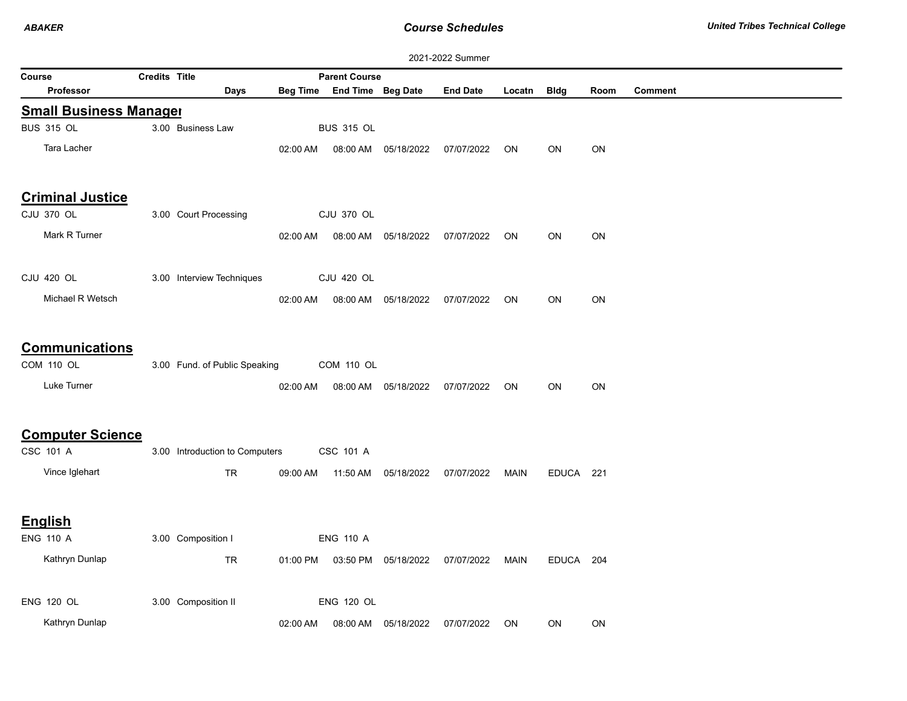*ABAKER*

*Course Schedules*

| 2021-2022 Summer                           |                      |                                |          |                            |                      |                 |           |             |      |                |  |
|--------------------------------------------|----------------------|--------------------------------|----------|----------------------------|----------------------|-----------------|-----------|-------------|------|----------------|--|
| Course                                     | <b>Credits Title</b> |                                |          | <b>Parent Course</b>       |                      |                 |           |             |      |                |  |
| <b>Professor</b>                           |                      | Days                           |          | Beg Time End Time Beg Date |                      | <b>End Date</b> | Locatn    | <b>Bldg</b> | Room | <b>Comment</b> |  |
| <b>Small Business Manager</b>              |                      |                                |          |                            |                      |                 |           |             |      |                |  |
| <b>BUS 315 OL</b>                          |                      | 3.00 Business Law              |          | <b>BUS 315 OL</b>          |                      |                 |           |             |      |                |  |
| Tara Lacher                                |                      |                                | 02:00 AM |                            | 08:00 AM 05/18/2022  | 07/07/2022      | ON        | ON          | ON   |                |  |
| <b>Criminal Justice</b>                    |                      |                                |          |                            |                      |                 |           |             |      |                |  |
| CJU 370 OL                                 |                      | 3.00 Court Processing          |          | CJU 370 OL                 |                      |                 |           |             |      |                |  |
| Mark R Turner                              |                      |                                | 02:00 AM |                            | 08:00 AM 05/18/2022  | 07/07/2022      | ON        | ON          | ON   |                |  |
| <b>CJU 420 OL</b>                          |                      | 3.00 Interview Techniques      |          | <b>CJU 420 OL</b>          |                      |                 |           |             |      |                |  |
| Michael R Wetsch                           |                      |                                | 02:00 AM |                            | 08:00 AM 05/18/2022  | 07/07/2022      | ON        | ON          | ON   |                |  |
| <b>Communications</b><br><b>COM 110 OL</b> |                      | 3.00 Fund. of Public Speaking  |          | COM 110 OL                 |                      |                 |           |             |      |                |  |
| Luke Turner                                |                      |                                | 02:00 AM |                            | 08:00 AM 05/18/2022  | 07/07/2022      | <b>ON</b> | ON          | ON   |                |  |
| <b>Computer Science</b>                    |                      |                                |          |                            |                      |                 |           |             |      |                |  |
| CSC 101 A                                  |                      | 3.00 Introduction to Computers |          | CSC 101 A                  |                      |                 |           |             |      |                |  |
| Vince Iglehart                             |                      | <b>TR</b>                      | 09:00 AM | 11:50 AM                   | 05/18/2022           | 07/07/2022      | MAIN      | EDUCA 221   |      |                |  |
| <b>English</b>                             |                      |                                |          |                            |                      |                 |           |             |      |                |  |
| <b>ENG 110 A</b>                           |                      | 3.00 Composition I             |          | <b>ENG 110 A</b>           |                      |                 |           |             |      |                |  |
| Kathryn Dunlap                             |                      | TR                             | 01:00 PM |                            | 03:50 PM 05/18/2022  | 07/07/2022      | MAIN      | EDUCA 204   |      |                |  |
| <b>ENG 120 OL</b>                          |                      | 3.00 Composition II            |          | <b>ENG 120 OL</b>          |                      |                 |           |             |      |                |  |
| Kathryn Dunlap                             |                      |                                | 02:00 AM |                            | 08:00 AM  05/18/2022 | 07/07/2022      | <b>ON</b> | ON          | ON   |                |  |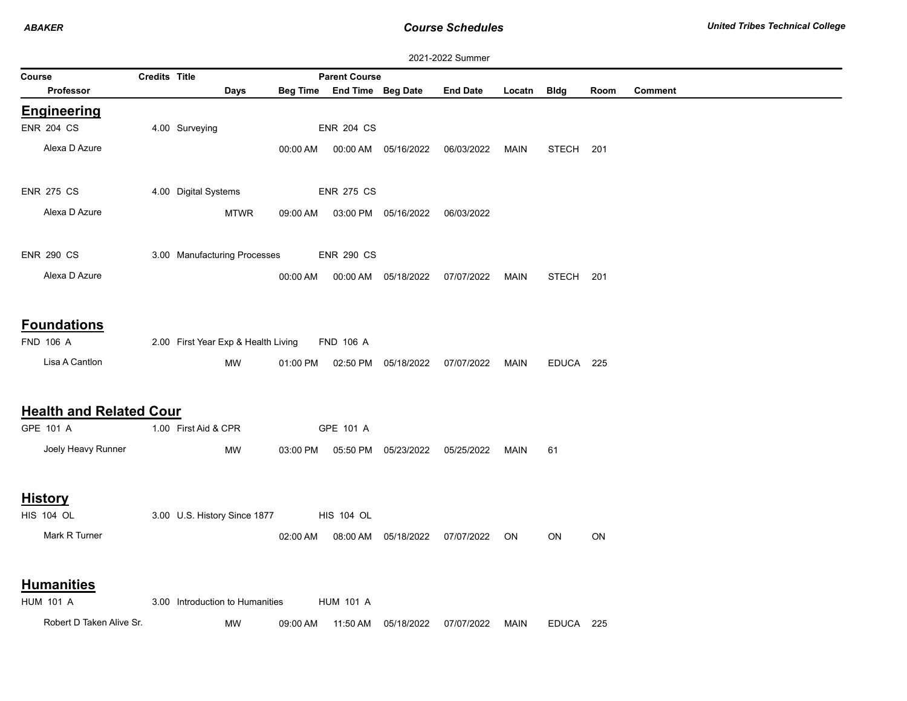*ABAKER*

*Course Schedules*

| 2021-2022 Summer                                         |                      |                                           |          |                            |                      |                 |             |              |      |                |  |
|----------------------------------------------------------|----------------------|-------------------------------------------|----------|----------------------------|----------------------|-----------------|-------------|--------------|------|----------------|--|
| Course                                                   | <b>Credits Title</b> |                                           |          | <b>Parent Course</b>       |                      |                 |             |              |      |                |  |
| Professor                                                |                      | Days                                      |          | Beg Time End Time Beg Date |                      | <b>End Date</b> | Locatn      | <b>Bldg</b>  | Room | <b>Comment</b> |  |
| <b>Engineering</b>                                       |                      |                                           |          |                            |                      |                 |             |              |      |                |  |
| <b>ENR 204 CS</b>                                        |                      | 4.00 Surveying                            |          | <b>ENR 204 CS</b>          |                      |                 |             |              |      |                |  |
| Alexa D Azure                                            |                      |                                           | 00:00 AM |                            | 00:00 AM 05/16/2022  | 06/03/2022      | <b>MAIN</b> | <b>STECH</b> | 201  |                |  |
| <b>ENR 275 CS</b>                                        |                      | 4.00 Digital Systems                      |          | <b>ENR 275 CS</b>          |                      |                 |             |              |      |                |  |
| Alexa D Azure                                            |                      | <b>MTWR</b>                               | 09:00 AM |                            | 03:00 PM 05/16/2022  | 06/03/2022      |             |              |      |                |  |
| <b>ENR 290 CS</b>                                        |                      | 3.00 Manufacturing Processes              |          | <b>ENR 290 CS</b>          |                      |                 |             |              |      |                |  |
| Alexa D Azure                                            |                      |                                           | 00:00 AM |                            | 00:00 AM 05/18/2022  | 07/07/2022      | MAIN        | <b>STECH</b> | 201  |                |  |
| <b>Foundations</b><br><b>FND 106 A</b><br>Lisa A Cantlon |                      | 2.00 First Year Exp & Health Living<br>MW | 01:00 PM | <b>FND 106 A</b>           | 02:50 PM 05/18/2022  | 07/07/2022      | MAIN        | EDUCA 225    |      |                |  |
| <b>Health and Related Cour</b><br>GPE 101 A              |                      | 1.00 First Aid & CPR                      |          | GPE 101 A                  |                      |                 |             |              |      |                |  |
| Joely Heavy Runner                                       |                      | MW                                        | 03:00 PM |                            | 05:50 PM 05/23/2022  | 05/25/2022      | <b>MAIN</b> | 61           |      |                |  |
| <b>History</b><br><b>HIS 104 OL</b>                      |                      | 3.00 U.S. History Since 1877              |          | <b>HIS 104 OL</b>          |                      |                 |             |              |      |                |  |
| Mark R Turner                                            |                      |                                           | 02:00 AM |                            | 08:00 AM  05/18/2022 | 07/07/2022      | <b>ON</b>   | ON           | ON   |                |  |
| <b>Humanities</b><br><b>HUM 101 A</b>                    |                      | 3.00 Introduction to Humanities           |          | <b>HUM 101 A</b>           |                      |                 |             |              |      |                |  |
| Robert D Taken Alive Sr.                                 |                      | MW                                        | 09:00 AM | 11:50 AM                   | 05/18/2022           | 07/07/2022      | <b>MAIN</b> | EDUCA 225    |      |                |  |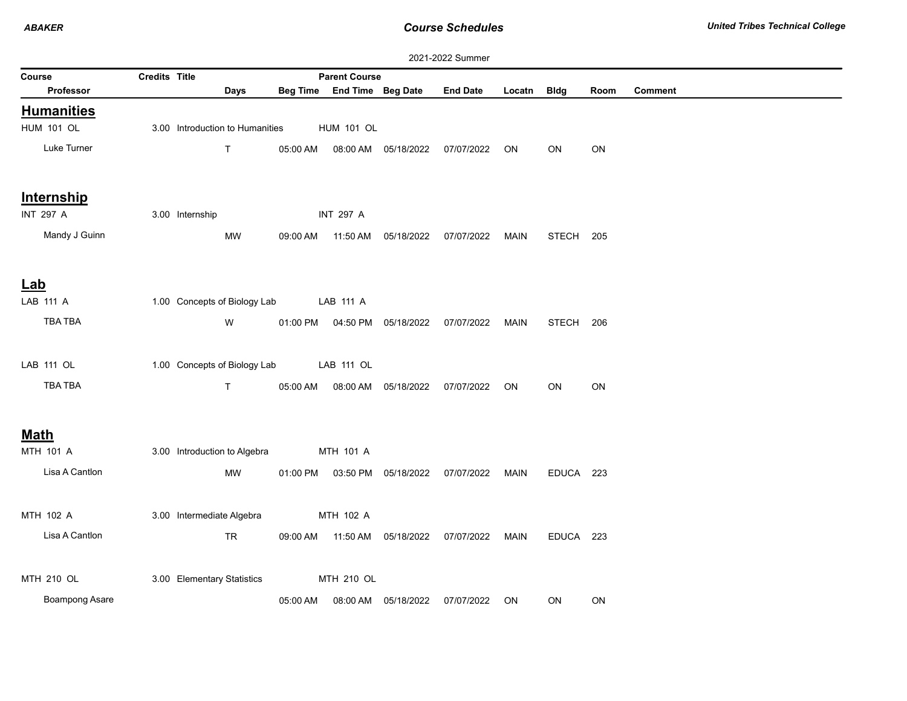|             | 2021-2022 Summer      |               |                                 |                 |                      |                                |                 |             |              |      |                |  |
|-------------|-----------------------|---------------|---------------------------------|-----------------|----------------------|--------------------------------|-----------------|-------------|--------------|------|----------------|--|
| Course      |                       | Credits Title |                                 |                 | <b>Parent Course</b> |                                |                 |             |              |      |                |  |
|             | Professor             |               | <b>Days</b>                     | <b>Beg Time</b> |                      | End Time Beg Date              | <b>End Date</b> | Locatn      | <b>Bldg</b>  | Room | <b>Comment</b> |  |
|             | <b>Humanities</b>     |               |                                 |                 |                      |                                |                 |             |              |      |                |  |
|             | <b>HUM 101 OL</b>     |               | 3.00 Introduction to Humanities |                 | <b>HUM 101 OL</b>    |                                |                 |             |              |      |                |  |
|             | Luke Turner           |               | $\mathsf T$                     | 05:00 AM        | 08:00 AM             | 05/18/2022                     | 07/07/2022      | ON          | ON           | ON   |                |  |
|             | Internship            |               |                                 |                 |                      |                                |                 |             |              |      |                |  |
|             | <b>INT 297 A</b>      |               | 3.00 Internship                 |                 | <b>INT 297 A</b>     |                                |                 |             |              |      |                |  |
|             | Mandy J Guinn         |               | MW                              | 09:00 AM        | 11:50 AM             | 05/18/2022                     | 07/07/2022      | MAIN        | STECH 205    |      |                |  |
|             |                       |               |                                 |                 |                      |                                |                 |             |              |      |                |  |
| Lab         |                       |               |                                 |                 |                      |                                |                 |             |              |      |                |  |
|             | LAB 111 A             |               | 1.00 Concepts of Biology Lab    |                 | LAB 111 A            |                                |                 |             |              |      |                |  |
|             | TBA TBA               |               | W                               | 01:00 PM        |                      | 04:50 PM 05/18/2022            | 07/07/2022      | <b>MAIN</b> | <b>STECH</b> | 206  |                |  |
|             |                       |               |                                 |                 |                      |                                |                 |             |              |      |                |  |
|             | LAB 111 OL            |               | 1.00 Concepts of Biology Lab    |                 | LAB 111 OL           |                                |                 |             |              |      |                |  |
|             | TBA TBA               |               | T                               | 05:00 AM        | 08:00 AM             | 05/18/2022                     | 07/07/2022      | ON          | ON           | ON   |                |  |
|             |                       |               |                                 |                 |                      |                                |                 |             |              |      |                |  |
| <u>Math</u> |                       |               |                                 |                 |                      |                                |                 |             |              |      |                |  |
|             | MTH 101 A             |               | 3.00 Introduction to Algebra    |                 | MTH 101 A            |                                |                 |             |              |      |                |  |
|             | Lisa A Cantlon        |               | MW                              |                 |                      | 01:00 PM  03:50 PM  05/18/2022 | 07/07/2022      | MAIN        | EDUCA 223    |      |                |  |
|             |                       |               |                                 |                 |                      |                                |                 |             |              |      |                |  |
|             | MTH 102 A             |               | 3.00 Intermediate Algebra       |                 | MTH 102 A            |                                |                 |             |              |      |                |  |
|             | Lisa A Cantlon        |               | <b>TR</b>                       | 09:00 AM        |                      | 11:50 AM  05/18/2022           | 07/07/2022      | <b>MAIN</b> | EDUCA 223    |      |                |  |
|             |                       |               |                                 |                 |                      |                                |                 |             |              |      |                |  |
|             | MTH 210 OL            |               | 3.00 Elementary Statistics      |                 | MTH 210 OL           |                                |                 |             |              |      |                |  |
|             | <b>Boampong Asare</b> |               |                                 | 05:00 AM        |                      | 08:00 AM 05/18/2022            | 07/07/2022      | ON          | ON           | ON   |                |  |